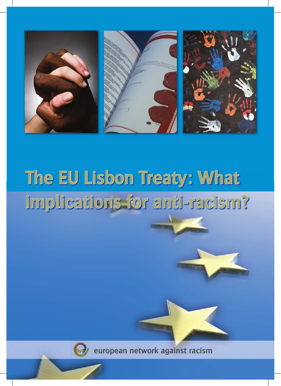

# **The EU Lisbon Treaty: What implications for anti-racism?**



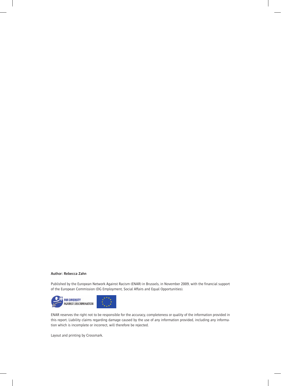#### **Author: Rebecca Zahn**

Published by the European Network Against Racism (ENAR) in Brussels, in November 2009, with the financial support of the European Commission (DG Employment, Social Affairs and Equal Opportunities).



ENAR reserves the right not to be responsible for the accuracy, completeness or quality of the information provided in this report. Liability claims regarding damage caused by the use of any information provided, including any information which is incomplete or incorrect, will therefore be rejected.

Layout and printing by Crossmark.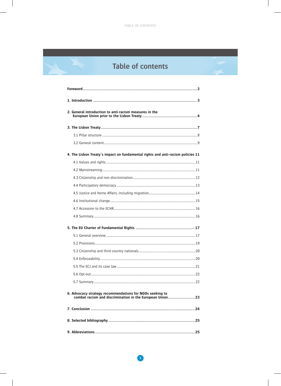# Table of contents

| 2. General introduction to anti-racism measures in the                          |  |
|---------------------------------------------------------------------------------|--|
|                                                                                 |  |
|                                                                                 |  |
|                                                                                 |  |
| 4. The Lisbon Treaty's impact on fundamental rights and anti-racism policies 11 |  |
|                                                                                 |  |
|                                                                                 |  |
|                                                                                 |  |
|                                                                                 |  |
|                                                                                 |  |
|                                                                                 |  |
|                                                                                 |  |
|                                                                                 |  |
|                                                                                 |  |
|                                                                                 |  |
|                                                                                 |  |
|                                                                                 |  |
|                                                                                 |  |
|                                                                                 |  |
|                                                                                 |  |
|                                                                                 |  |
| 6. Advocacy strategy recommendations for NGOs seeking to                        |  |
| combat racism and discrimination in the European Union 23                       |  |
|                                                                                 |  |
|                                                                                 |  |
|                                                                                 |  |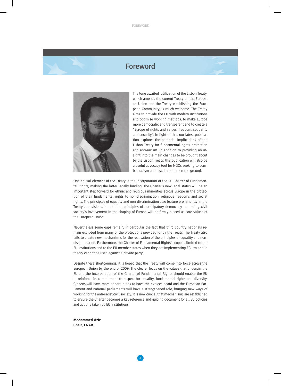# **Foreword**



The long awaited ratification of the Lisbon Treaty, which amends the current Treaty on the European Union and the Treaty establishing the European Community, is much welcome. The Treaty aims to provide the EU with modern institutions and optimise working methods, to make Europe more democratic and transparent and to create a "Europe of rights and values, freedom, solidarity and security". In light of this, our latest publication explores the potential implications of the Lisbon Treaty for fundamental rights protection and anti-racism. In addition to providing an insight into the main changes to be brought about by the Lisbon Treaty, this publication will also be a useful advocacy tool for NGOs seeking to combat racism and discrimination on the ground.

One crucial element of the Treaty is the incorporation of the EU Charter of Fundamental Rights, making the latter legally binding. The Charter's new legal status will be an important step forward for ethnic and religious minorities across Europe in the protection of their fundamental rights to non-discrimination, religious freedoms and social rights. The principles of equality and non-discrimination also feature prominently in the Treaty's provisions. In addition, principles of participatory democracy promoting civil society's involvement in the shaping of Europe will be firmly placed as core values of the European Union.

Nevertheless some gaps remain, in particular the fact that third country nationals remain excluded from many of the protections provided for by the Treaty. The Treaty also fails to create new mechanisms for the realisation of the principles of equality and nondiscrimination. Furthermore, the Charter of Fundamental Rights' scope is limited to the EU institutions and to the EU member states when they are implementing EC law and in theory cannot be used against a private party.

Despite these shortcomings, it is hoped that the Treaty will come into force across the European Union by the end of 2009. The clearer focus on the values that underpin the EU and the incorporation of the Charter of Fundamental Rights should enable the EU to reinforce its commitment to respect for equality, fundamental rights and diversity. Citizens will have more opportunities to have their voices heard and the European Parliament and national parliaments will have a strengthened role, bringing new ways of working for the anti-racist civil society. It is now crucial that mechanisms are established to ensure the Charter becomes a key reference and guiding document for all EU policies and actions taken by EU institutions.

**Mohammed Aziz Chair, ENAR**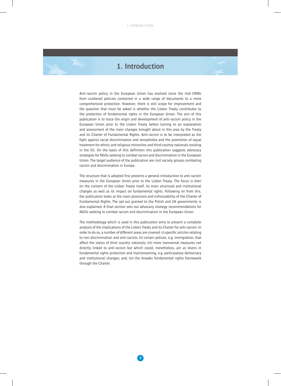# **1. Introduction**

Anti-racism policy in the European Union has evolved since the mid-1990s from scattered policies contained in a wide range of documents to a more comprehensive protection. However, there is still scope for improvement and the question that must be asked is whether the Lisbon Treaty contributes to the protection of fundamental rights in the European Union. The aim of this publication is to trace the origin and development of anti-racism policy in the European Union prior to the Lisbon Treaty before turning to an explanation and assessment of the main changes brought about in this area by the Treaty and its Charter of Fundamental Rights. Anti-racism is to be interpreted as the fight against racial discrimination and xenophobia and the promotion of equal treatment for ethnic and religious minorities and third country nationals residing in the EU. On the basis of this definition this publication suggests advocacy strategies for NGOs seeking to combat racism and discrimination in the European Union. The target audience of the publication are civil society groups combating racism and discrimination in Europe.

The structure that is adopted first presents a general introduction to anti-racism measures in the European Union prior to the Lisbon Treaty. The focus is then on the content of the Lisbon Treaty itself, its main structural and institutional changes as well as its impact on fundamental rights. Following on from this, the publication looks at the main provisions and enforceability of the Charter of Fundamental Rights. The opt-out granted to the Polish and UK governments is also explained. A final section sets out advocacy strategy recommendations for NGOs seeking to combat racism and discrimination in the European Union.

The methodology which is used in this publication aims to present a complete analysis of the implications of the Lisbon Treaty and its Charter for anti-racism. In order to do so, a number of different areas are covered: (i) specific articles relating to non discrimination and anti-racism; (ii) certain polices, e.g. immigration, that affect the status of third country nationals; (iii) more transversal measures not directly linked to anti-racism but which could, nonetheless, act as levers in fundamental rights protection and mainstreaming, e.g. participatory democracy and institutional changes; and, (iv) the broader fundamental rights framework through the Charter.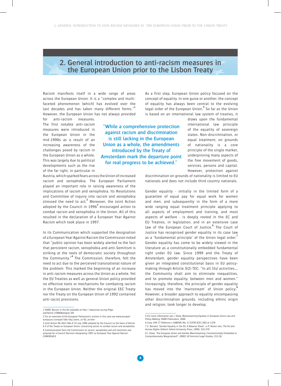# **2. General introduction to anti-racism measures in the European Union prior to the Lisbon Treaty**

Racism manifests itself in a wide range of areas across the European Union. It is a "complex and multifaceted phenomenon [which] has evolved over the last decades and has taken many different forms."**<sup>1</sup>** However, the European Union has not always provided

for anti-racism measures. The first notable anti-racism measures were introduced in the European Union in the mid-1990s as a result of an increasing awareness of the challenges posed by racism in the European Union as a whole. This was largely due to political developments such as the rise of the far right, in particular in

**"While a comprehensive protection against racism and discrimination is still lacking in the European Union as a whole, the amendments introduced by the Treaty of Amsterdam mark the departure point for real progress to be achieved."**

Austria, which sparked fears across the Union of increased racism and xenophobia. The European Parliament played an important role in raising awareness of the implications of racism and xenophobia. Its Resolutions and Committee of inquiry into racism and xenophobia stressed the need to act.**<sup>2</sup>** Moreover, the Joint Action adopted by the Council in 1996**<sup>3</sup>** encouraged action to combat racism and xenophobia in the Union. All of this resulted in the declaration of a European Year Against Racism which took place in 1997.

In its Communication which supported the designation of a European Year Against Racism the Commission noted that "public opinion has been widely alerted to the fact that persistent racism, xenophobia and anti-Semitism is striking at the roots of democratic society throughout the Community."**<sup>4</sup>** The Commission, therefore, felt the need to act due to the perceived transnational nature of the problem. This marked the beginning of an increase in anti-racism measures across the Union as a whole. Yet the EU Treaties as well as general Union policy provided no effective tools or mechanisms for combating racism in the European Union. Neither the original EEC Treaty nor the Treaty on the European Union of 1992 contained anti-racist provisions.

As a first step, European Union policy focused on the concept of equality. In one guise or another, the concept of equality has always been central to the evolving legal order of the European Union.**<sup>5</sup>** So far as the Union is based on an international law system of treaties, it

> draws upon the fundamental international law principle of the equality of sovereign states. Non-discrimination, or equal treatment, on grounds of nationality is a core principle of the single market, underpinning many aspects of the free movement of goods, services, persons and capital. However, protection against

discrimination on grounds of nationality is limited to EU nationals and does not include third country nationals.

Gender equality - initially in the limited form of a guarantee of equal pay for equal work for women and men, and subsequently in the form of a more wide ranging equal treatment principle applying to all aspects of employment and training, and most aspects of welfare - is deeply rooted in the EC and EU Treaties, in legislation, and in an extensive case law of the European Court of Justice.**<sup>6</sup>** The Court of Justice has recognised gender equality in its case law as a 'fundamental principle' of the Union legal order.**<sup>7</sup>** Gender equality has come to be widely viewed in the literature as a constitutionally embedded fundamental right under EU law. Since 1999 and the Treaty of Amsterdam, gender equality perspectives have been given an integrated constitutional basis in EU policymaking through Article 3(2) TEC: "In all [its] activities…, the Community shall aim to eliminate inequalities, and to promote equality, between men and women." Increasingly, therefore, the principle of gender equality has moved into the 'mainstream' of Union policy.<sup>8</sup> However, a broader approach to equality encompassing other discrimination grounds, including ethnic origin and religion, took longer to develop.

<sup>1</sup> ENAR, Racism in the EU available at http://www.enar-eu.org/Page. asp?docid=15886&langue=EN

<sup>2</sup> For an overview of the European Parliament's actions in this area see www.europarl. europa.eu/comparl/libe/elsj/zoom\_in/02\_en.htm

<sup>3</sup> Joint Action 96/443/JHA of 15 July 1996 adopted by the Council on the basis of Article K.3 of the Treaty on European Union, concerning action to combat racism and xenophobia 4 Communication from the Commission on racism, xenophobia and anti-Semitism and proposal for a Council Decision designating 1997 as European Year Against Racism, COM(95)653

<sup>5</sup> For more information see J. Shaw, Mainstreaming Equality in European Union Law and Policy-Making, ENAR Publication, 2004

<sup>6</sup> Case 149/77 Defrenne v SABENA (No. 3) [1978] ECR 1365 at 1378

<sup>7</sup> C. Barnard, 'Gender Equality in the EU: A Balance Sheet', in P. Alston (ed.), The EU and Human Rights (Oxford: Oxford University Press, 1999), 215-279

<sup>8</sup> J. Shaw, 'The European Union and Gender Mainstreaming: Constitutionally Embedded or Comprehensively Marginalised?', (2002) 10 Feminist Legal Studies, 213-26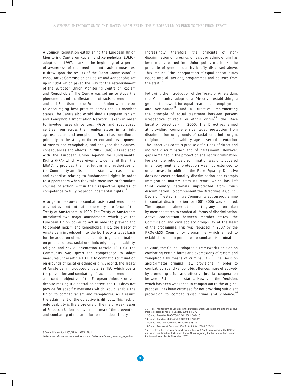A Council Regulation establishing the European Union Monitoring Centre on Racism and Xenophobia (EUMC), adopted in 1997, marked the beginning of a period of awareness of the need for anti-racism measures. It drew upon the results of the 'Kahn Commission', a consultative Commission on Racism and Xenophobia set up in 1994 which paved the way for the establishment of the European Union Monitoring Centre on Racism and Xenophobia.**<sup>9</sup>** The Centre was set up to study the phenomena and manifestations of racism, xenophobia and anti-Semitism in the European Union with a view to encouraging best practice across the EU member states. The Centre also established a European Racism and Xenophobia Information Network (Raxen) in order to involve research centres, NGOs and specialised centres from across the member states in its fight against racism and xenophobia. Raxen has contributed primarily to the study of the extent and development of racism and xenophobia, and analysed their causes, consequences and effects. In 2007 EUMC was replaced with the European Union Agency for Fundamental Rights (FRA) which was given a wider remit than the EUMC. It provides the institutions and authorities of the Community and its member states with assistance and expertise relating to fundamental rights in order to support them when they take measures or formulate courses of action within their respective spheres of competence to fully respect fundamental rights.**<sup>10</sup>**

A surge in measures to combat racism and xenophobia was not evident until after the entry into force of the Treaty of Amsterdam in 1999. The Treaty of Amsterdam introduced two major amendments which give the European Union power to act in order to prevent and to combat racism and xenophobia. First, the Treaty of Amsterdam introduced into the EC Treaty a legal basis for the adoption of measures combating discrimination on grounds of sex, racial or ethnic origin, age, disability, religion and sexual orientation (Article 13 TEC). The Community was given the competence to adopt measures under article 13 TEC to combat discrimination on grounds of racial or ethnic origin. Second, the Treaty of Amsterdam introduced article 29 TEU which posits the prevention and combating of racism and xenophobia as a central objective of the European Union. However, despite making it a central objective, the TEU does not provide for specific measures which would enable the Union to combat racism and xenophobia. As a result, the attainment of the objective is difficult. This lack of enforceability is therefore one of the major weaknesses of European Union policy in the area of the prevention and combating of racism prior to the Lisbon Treaty.

Increasingly, therefore, the principle of nondiscrimination on grounds of racial or ethnic origin has been mainstreamed into Union policy much like the principle of gender equality briefly discussed above. This implies: "the incorporation of equal opportunities issues into all actions, programmes and policies from the start."**<sup>11</sup>**

Following the introduction of the Treaty of Amsterdam, the Community adopted a Directive establishing a general framework for equal treatment in employment and occupation**<sup>12</sup>** and a Directive implementing the principle of equal treatment between persons irrespective of racial or ethnic origin**<sup>13</sup>** (the 'Race Equality Directive') in 2000. The Directives aimed at providing comprehensive legal protection from discrimination on grounds of racial or ethnic origin, religion or belief, disability, age or sexual orientation. The Directives contain precise definitions of direct and indirect discrimination and of harassment. However, gaps remained in the protection against discrimination. For example, religious discrimination was only covered in employment and protection was not extended to other areas. In addition, the Race Equality Directive does not cover nationality discrimination and exempts immigration matters from its remit, which has left third country nationals unprotected from much discrimination. To complement the Directives, a Council Decision**<sup>14</sup>** establishing a Community action programme to combat discrimination for 2001-2006 was adopted. The programme aimed at supporting any action taken by member states to combat all forms of discrimination. Active cooperation between member states, the Commission and civil society groups lay at the heart of the programme. This was replaced in 2007 by the PROGRESS Community programme which aimed to establish common principles to combat discrimination.

In 2008, the Council adopted a Framework Decision on combating certain forms and expressions of racism and xenophobia by means of criminal law**<sup>15</sup>**. The Decision approximates criminal law provisions in order to combat racist and xenophobic offences more effectively by promoting a full and effective judicial cooperation between EU member states. However, the Decision, which has been weakened in comparison to the original proposal, has been criticised for not providing sufficient protection to combat racist crime and violence.**<sup>16</sup>**

<sup>9</sup> Council Regulation 1035/97 OJ 1997 L151/1

<sup>10</sup> For more information see www.fra.europa.eu/fraWebsite/about\_us/about\_us\_en.htm.

<sup>11</sup> T. Rees, Mainstreaming Equality in the European Union: Education, Training and Labour Market Policies, London: Routledge, 1998, pp. 3-4.

<sup>12</sup> Council Directive 2000/78/EC, OJ 2000 L 303/16.

<sup>13</sup> Council Directive 2000/43/EC, OJ 2000 L 180/22.

<sup>14</sup> Council Decision 2000/750, OJ 2000 L 303/23.

<sup>15</sup> Council Framework Decision 2008/913/JHA, OJ 2008 L 328/51.

<sup>16</sup> Letter from the European Network against Racism (ENAR) to Members of the EP Com-mittee on Civil Liberties, Justice and Home Affairs regarding the Framework Decision on Racism and Xenophobia, November 2007.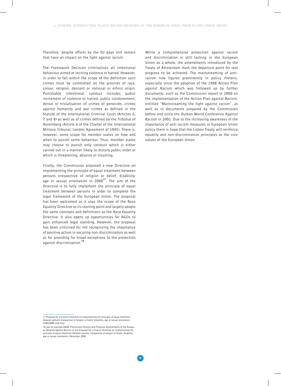Therefore, despite efforts by the EU gaps still remain that have an impact on the fight against racism.

The Framework Decision criminalises all intentional behaviour aimed at inciting violence or hatred. However, in order to fall within the scope of the definition such crimes must be committed on the grounds of race, colour, religion, descent or national or ethnic origin. Punishable intentional conduct includes public incitement of violence or hatred, public condonement, denial or trivialisation of crimes of genocide, crimes against humanity and war crimes as defined in the Statute of the International Criminal Court (Articles 6, 7 and 8) as well as of crimes defined by the Tribunal of Nuremberg (Article 6 of the Charter of the International Military Tribunal, London Agreement of 1945). There is, however, some scope for member states on how and when to punish some behaviour. Thus, member states may choose to punish only conduct which is either carried out in a manner likely to disturb public order or which is threatening, abusive or insulting.

Finally, the Commission proposed a new Directive on implementing the principle of equal treatment between persons irrespective of religion or belief, disability, age or sexual orientation in 2008**<sup>17</sup>**. The aim of the Directive is to fully implement the principle of equal treatment between persons in order to complete the legal framework of the European Union. The proposal has been welcomed as it uses the scope of the Race Equality Directive as its starting point and largely adopts the same concepts and definitions as the Race Equality Directive. It also opens up opportunities for NGOs to gain enhanced legal standing. However, the proposal has been criticised for not recognising the importance of positive action in securing non-discrimination as well as for providing for broad exceptions to the protection against discrimination.**<sup>18</sup>**

While a comprehensive protection against racism and discrimination is still lacking in the European Union as a whole, the amendments introduced by the Treaty of Amsterdam mark the departure point for real progress to be achieved. The mainstreaming of antiracism now figures prominently in policy rhetoric, especially since the adoption of the 1998 Action Plan against Racism which was followed up by further documents, such as the Commission report in 2000 on the implementation of the Action Plan against Racism, entitled "Mainstreaming the fight against racism", as well as in documents prepared by the Commission before and since the Durban World Conference Against Racism in 2001. Due to the increasing awareness of the importance of anti-racism measures in European Union policy there is hope that the Lisbon Treaty will reinforce equality and non-discrimination principles as the core values of the European Union.

<sup>17</sup> Proposal for a Council Directive on implementing the principle of equal treatment between persons irrespective of religion or belief, disability, age or sexual orientation, COM(2008) 426 final.

<sup>18</sup> See for example ENAR, Preliminary Position and Proposed Amendments of the European Network Against Racism on the Proposal for a Council Directive on implementing the principle of equal treatment between persons irrespective of religion or belief, disability, age or sexual orientation, December 2008.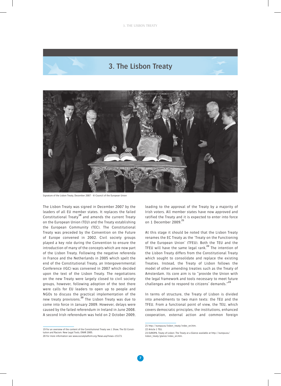# **3. The Lisbon Treaty**



Signature of the Lisbon Treaty, December 2007 - © Council of the European Union

The Lisbon Treaty was signed in December 2007 by the leaders of all EU member states. It replaces the failed Constitutional Treaty**<sup>19</sup>** and amends the current Treaty on the European Union (TEU) and the Treaty establishing the European Community (TEC). The Constitutional Treaty was preceded by the Convention on the Future of Europe convened in 2002. Civil society groups played a key role during the Convention to ensure the introduction of many of the concepts which are now part of the Lisbon Treaty. Following the negative referenda in France and the Netherlands in 2005 which spelt the end of the Constitutional Treaty, an Intergovernmental Conference (IGC) was convened in 2007 which decided upon the text of the Lisbon Treaty. The negotiations on the new Treaty were largely closed to civil society groups, however, following adoption of the text there were calls for EU leaders to open up to people and NGOs to discuss the practical implementation of the new treaty provisions.**<sup>20</sup>** The Lisbon Treaty was due to come into force in January 2009. However, delays were caused by the failed referendum in Ireland in June 2008. A second Irish referendum was held on 2 October 2009, leading to the approval of the Treaty by a majority of Irish voters. All member states have now approved and ratified the Treaty and it is expected to enter into force on 1 December 2009.**<sup>21</sup>**

At this stage it should be noted that the Lisbon Treaty renames the EC Treaty as the 'Treaty on the Functioning of the European Union' (TFEU). Both the TEU and the TFEU will have the same legal rank.**<sup>22</sup>** The intention of the Lisbon Treaty differs from the Constitutional Treaty which sought to consolidate and replace the existing Treaties. Instead, the Treaty of Lisbon follows the model of other amending treaties such as the Treaty of Amsterdam. Its core aim is to "provide the Union with the legal framework and tools necessary to meet future challenges and to respond to citizens' demands."**<sup>23</sup>**

In terms of structure, the Treaty of Lisbon is divided into amendments to two main texts: the TEU and the TFEU. From a functional point of view, the TEU, which covers democratic principles, the institutions, enhanced cooperation, external action and common foreign

<sup>19</sup> For an overview of the content of the Constitutional Treaty see J. Shaw, The EU Constitution and Racism: New Legal Tools, ENAR 2005.

<sup>20</sup> For more information see www.socialplatform.org/News.asp?news=15173.

<sup>21</sup> http://europa.eu/lisbon\_treaty/index\_en.htm.

<sup>22</sup> Article 1 TEU.

<sup>23</sup> EUROPA, Treaty of Lisbon: The Treaty at a Glance available at http://europa.eu/ lisbon\_treaty/glance/index\_en.htm.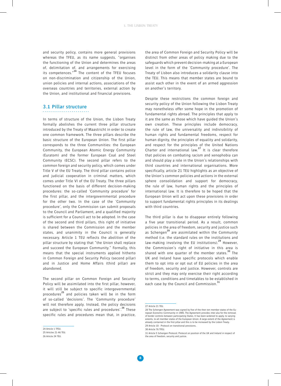and security policy, contains more general provisions whereas the TFEU, as its name suggests, "organises the functioning of the Union and determines the areas of, delimitation of, and arrangements for exercising its competences."**<sup>24</sup>** The content of the TFEU focuses on non-discrimination and citizenship of the Union, union policies and internal actions, associations of the overseas countries and territories, external action by the Union, and institutional and financial provisions.

#### **3.1 Pillar structure**

In terms of structure of the Union, the Lisbon Treaty formally abolishes the current three pillar structure introduced by the Treaty of Maastricht in order to create one common framework. The three pillars describe the basic structure of the European Union. The first pillar corresponds to the three Communities: the European Community, the European Atomic Energy Community (Euratom) and the former European Coal and Steel Community (ECSC). The second pillar refers to the common foreign and security policy, which comes under Title V of the EU Treaty. The third pillar contains police and judicial cooperation in criminal matters, which comes under Title VI of the EU Treaty. The three pillars functioned on the basis of different decision-making procedures: the so-called 'Community procedure' for the first pillar, and the intergovernmental procedure for the other two. In the case of the 'Community procedure', only the Commission can submit proposals to the Council and Parliament, and a qualified majority is sufficient for a Council act to be adopted. In the case of the second and third pillars, this right of initiative is shared between the Commission and the member states, and unanimity in the Council is generally necessary. Article 1 TEU reflects the abolition of the pillar structure by stating that "the Union shall replace and succeed the European Community." Formally, this means that the special instruments applied hitherto in Common Foreign and Security Policy (second pillar) and in Justice and Home Affairs (third pillar) are abandoned.

The second pillar on Common Foreign and Security Policy will be assimilated into the first pillar, however, it will still be subject to specific intergovernmental procedures**<sup>25</sup>** and policies taken will be in the form of so-called 'decisions'. The 'Community procedure' will not therefore apply. Instead, the policy decisions are subject to 'specific rules and procedures'.**<sup>26</sup>** These specific rules and procedures mean that, in practice,

24 Article 1 TFEU. 25 Articles 21-46 TEU. 26 Article 24 TEU.

the area of Common Foreign and Security Policy will be distinct from other areas of policy making due to the safeguards which prevent decision-making at a European level in the form of the 'Community procedure'. The Treaty of Lisbon also introduces a solidarity clause into the TEU. This means that member states are bound to assist each other in the event of an armed aggression on another's territory.

Despite these restrictions the common foreign and security policy of the Union following the Lisbon Treaty may nonetheless offer some hope in the promotion of fundamental rights abroad. The principles that apply to it are the same as those which have guided the Union's own creation. These principles include democracy, the rule of law, the universality and indivisibility of human rights and fundamental freedoms, respect for human dignity, the principles of equality and solidarity, and respect for the principles of the United Nations Charter and international law.**<sup>27</sup>** It is clear therefore that policies on combating racism and xenophobia can and should play a role in the Union's relationships with third countries and international organisations. More specifically, article 21 TEU highlights as an objective of the Union's common policies and actions in the external sphere consolidation and support for democracy, the rule of law, human rights and the principles of international law. It is therefore to be hoped that the European Union will act upon these provisions in order to support fundamental rights principles in its dealings with third countries.

The third pillar is due to disappear entirely following a five year transitional period. As a result, common policies in the area of freedom, security and justice such as Schengen**<sup>28</sup>** are assimilated within the Community method (i.e. the standard rules on the institutions and law-making involving the EU institutions).**<sup>29</sup>** However, the Commission's right of initiative in this area is shared with one quarter of the member states.**<sup>30</sup>** The UK and Ireland have specific protocols which enable them to opt into or opt out of EU policies in the area of freedom, security and justice. However, controls are strict and they may only exercise their right according to terms, conditions and timetables to be established in each case by the Council and Commission.**<sup>31</sup>**

<sup>27</sup> Article 21 TEU.

<sup>28</sup> The Schengen Agreement was signed by five of the then ten member states of the European Economic Community in 1985. The Agreement provides inter alia for the removal of border controls between participating States. It has been widened to apply, to varying extents, to all member states of the European Union. A large extent of the Agreement is already contained in the first pillar and this is to be increased by the Lisbon Treaty. 29 Article 10 - Protocol on transitional provisions.

<sup>30</sup> Article 76 TFEU.

<sup>31</sup> Article 5 Schengen Protocol; Protocol on position of the UK and Ireland in respect of the area of freedom, security and justice.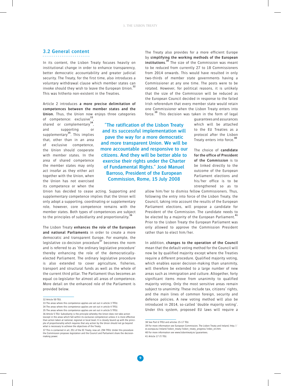**"The ratification of the Lisbon Treaty and its successful implementation will pave the way for a more democratic and more transparent Union. We will be more accountable and responsive to our citizens. And they will be better able to exercise their rights under the Charter of Fundamental Rights." José Manuel Barroso, President of the European Commission, Rome, 15 July 2008**

#### **3.2 General content**

In its content, the Lisbon Treaty focuses heavily on institutional change in order to enhance transparency, better democratic accountability and greater judicial security. The Treaty, for the first time, also introduces a voluntary withdrawal clause which member states can invoke should they wish to leave the European Union.**<sup>32</sup>** This was hitherto non-existent in the Treaties.

Article 2 introduces **a more precise delimitation of competences between the member states and the Union.** Thus, the Union now enjoys three categories

of competence: exclusive**<sup>33</sup>**, shared or complementary**<sup>34</sup>**, and supporting or supplementary**<sup>35</sup>**. This implies that, other than in an area of exclusive competence, the Union should cooperate with member states. In the area of shared competence the member states may only act insofar as they either act together with the Union, when the Union has not exercised its competence or when the

Union has decided to cease acting. Supporting and supplementary competence implies that the Union will only adopt a supporting, coordinating or supplementary role, however, core competence remains with the member states. Both types of competences are subject to the principles of subsidiarity and proportionality.**<sup>36</sup>**

The Lisbon Treaty **enhances the role of the European and national Parliaments** in order to create a more democratic and transparent Europe. For example, the legislative co-decision procedure**<sup>37</sup>** becomes the norm and is referred to as 'the ordinary legislative procedure' thereby enhancing the role of the democraticallyelected Parliament. The ordinary legislative procedure is also extended to cover agriculture, fisheries, transport and structural funds as well as the whole of the current third pillar. The Parliament thus becomes an equal co-legislator for almost all areas of competence. More detail on the enhanced role of the Parliament is provided below.

33 The areas where this competence applies are set out in article 3 TFEU. 34 The areas where this competence applies are set out in article 4 TFEU. The Treaty also provides for a more efficient Europe by **simplifying the working methods of the European institutions**. **<sup>38</sup>** The size of the Commission was meant to be reduced from currently 27 to 18 Commissioners from 2014 onwards. This would have resulted in only two-thirds of member state governments having a Commissioner at any one time. The posts were to be rotated. However, for political reasons, it is unlikely that the size of the Commission will be reduced as the European Council decided in response to the failed Irish referendum that every member state would retain one Commissioner when the Lisbon Treaty enters into force.**<sup>39</sup>** This decision was taken in the form of legal

> guarantees and assurances which will be attached to the EU Treaties as a protocol after the Lisbon Treaty enters into force.**<sup>40</sup>**

The choice of **candidate for the office of President of the Commission** is to be linked directly to the outcome of the European Parliament elections and his/her office is to be strengthened so as to

allow him/her to dismiss fellow Commissioners. Thus, following the entry into force of the Lisbon Treaty, the Council, taking into account the results of the European Parliament elections, will propose a candidate for President of the Commission. The candidate needs to be elected by a majority of the European Parliament.**<sup>41</sup>** Prior to the Lisbon Treaty the European Parliament was only allowed to approve the Commission President rather than to elect him/her.

In addition, **changes to the operation of the Council** mean that the default voting method for the Council will now be by qualified majority except where the Treaties require a different procedure. Qualified majority voting, which enables easier decision-making than unanimity, will therefore be extended to a large number of new areas such as immigration and culture. Altogether, forty significant items move from unanimity to qualified majority voting. Only the most sensitive areas remain subject to unanimity. These include tax, citizens' rights, and the main lines of common foreign, security and defence policies. A new voting method will also be introduced in 2014, so-called 'double majority voting'. Under this system, proposed EU laws will require a

<sup>32</sup> Article 50 TEU.

<sup>35</sup> The areas where this competence applies are set out in article 5 TFEU.

<sup>36</sup> Article 5 TEU: Subsidiarity is the principle whereby the Union does not take action (except in the areas which fall within its exclusive competence) unless it is more effective than action taken at national, regional or local level. It is closely bound up with the principle of proportionality which requires that any action by the Union should not go beyond what is necessary to achieve the objectives of the Treaty.

<sup>37</sup> This is contained in art. 251 of the EC Treaty, now art. 294 TFEU. Under this procedure the Commission proposes legislation and the Council and Parliament share the decisionmaking power.

<sup>38</sup> See Part 6 TFEU and articles 15-17 TEU.

<sup>39</sup> For more information see European Commission, The Lisbon Treaty and Ireland, http:// ec.europa.eu/ireland/lisbon\_treaty/lisbon\_treaty\_progress/index\_en.htm.

<sup>40</sup> For more information see www.lisbontreaty.ie/guarantees.

<sup>41</sup> Article 17 (7) TEU.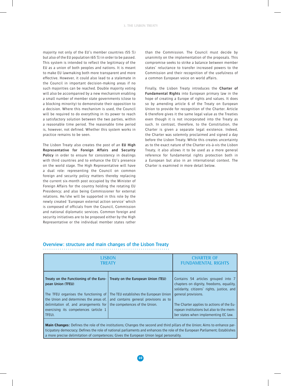majority not only of the EU's member countries (55 %) but also of the EU population (65 %) in order to be passed. This system is intended to reflect the legitimacy of the EU as a union of both peoples and nations. It is meant to make EU lawmaking both more transparent and more effective. However, it could also lead to a stalemate in the Council in important decision-making areas if no such majorities can be reached. Double majority voting will also be accompanied by a new mechanism enabling a small number of member state governments (close to a blocking minority) to demonstrate their opposition to a decision. Where this mechanism is used, the Council will be required to do everything in its power to reach a satisfactory solution between the two parties, within a reasonable time period. The reasonable time period is, however, not defined. Whether this system works in practice remains to be seen.

The Lisbon Treaty also creates the post of an **EU High Representative for Foreign Affairs and Security Policy** in order to ensure for consistency in dealings with third countries and to enhance the EU's presence on the world stage. The High Representative will have a dual role: representing the Council on common foreign and security policy matters thereby replacing the current six-month post occupied by the Minister of Foreign Affairs for the country holding the rotating EU Presidency; and also being Commissioner for external relations. He/she will be supported in this role by the newly created 'European external action service' which is composed of officials from the Council, Commission and national diplomatic services. Common foreign and security initiatives are to be proposed either by the High Representative or the individual member states rather

than the Commission. The Council must decide by unanimity on the implementation of the proposals. This compromise seeks to strike a balance between member states' reluctance to transfer increased powers to the Commission and their recognition of the usefulness of a common European voice on world affairs.

Finally, the Lisbon Treaty introduces the **Charter of Fundamental Rights** into European primary law in the hope of creating a Europe of rights and values. It does so by amending article 6 of the Treaty on European Union to provide for recognition of the Charter. Article 6 therefore gives it the same legal value as the Treaties even though it is not incorporated into the Treaty as such. In contrast, therefore, to the Constitution, the Charter is given a separate legal existence. Indeed, the Charter was solemnly proclaimed and signed a day before the Lisbon Treaty. While this creates uncertainty as to the exact nature of the Charter vis-à-vis the Lisbon Treaty, it also allows it to be used as a more general reference for fundamental rights protection both in a European but also in an international context. The Charter is examined in more detail below.

#### **Overview: structure and main changes of the Lisbon Treaty**

| <b>LISBON</b>                                                                                                                                                                                                                              |                                                                                                                                                        | <b>CHARTER OF</b>                                                                                                                                                                                                                                                                     |
|--------------------------------------------------------------------------------------------------------------------------------------------------------------------------------------------------------------------------------------------|--------------------------------------------------------------------------------------------------------------------------------------------------------|---------------------------------------------------------------------------------------------------------------------------------------------------------------------------------------------------------------------------------------------------------------------------------------|
| TREATY                                                                                                                                                                                                                                     |                                                                                                                                                        | <b>FUNDAMENTAL RIGHTS</b>                                                                                                                                                                                                                                                             |
| Treaty on the Functioning of the Euro-<br>pean Union (TFEU)<br>The TFEU organises the functioning of<br>the Union and determines the areas of,<br>delimitation of, and arrangements for<br>exercising its competences (article 1<br>TFEU). | Treaty on the European Union (TEU)<br>The TEU establishes the European Union<br>and contains general provisions as to<br>the competences of the Union. | Contains 54 articles grouped into 7<br>chapters on dignity, freedoms, equality,<br>solidarity, citizens' rights, justice, and<br>general provisions.<br>The Charter applies to actions of the Eu-<br>ropean institutions but also to the mem-<br>ber states when implementing EC law. |

**Main Changes:** Defines the role of the institutions; Changes the second and third pillars of the Union; Aims to enhance participatory democracy; Defines the role of national parliaments and enhances the role of the European Parliament; Establishes a more precise delimitation of competences; Gives the European Union legal personality.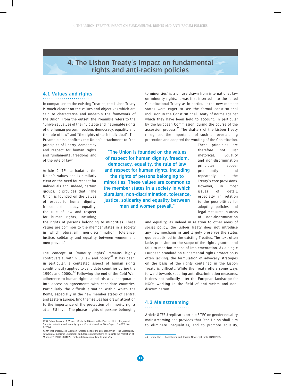# **4. The Lisbon Treaty's impact on fundamental rights and anti-racism policies**

#### **4.1 Values and rights**

In comparison to the existing Treaties, the Lisbon Treaty is much clearer on the values and objectives which are said to characterise and underpin the framework of the Union. From the outset, the Preamble refers to the "universal values of the inviolable and inalienable rights of the human person, freedom, democracy, equality and the rule of law" and "the rights of each individual". The Preamble also confirms the Union's attachment to "the

principles of liberty, democracy and respect for human rights and fundamental freedoms and of the rule of law".

Article 2 TEU articulates the Union's values and is similarly clear on the need for respect for individuals and, indeed, certain groups. It provides that: "The Union is founded on the values of respect for human dignity, freedom, democracy, equality, the rule of law and respect for human rights, including

the rights of persons belonging to minorities. These values are common to the member states in a society in which pluralism, non-discrimination, tolerance, justice, solidarity and equality between women and men prevail."

The concept of 'minority rights' remains highly controversial within EU law and policy.**<sup>42</sup>** It has been, in particular, a contested aspect of human rights conditionality applied to candidate countries during the 1990s and 2000s.**<sup>43</sup>** Following the end of the Cold War, adherence to human rights standards was incorporated into accession agreements with candidate countries. Particularly the difficult situation within which the Roma, especially in the new member states of central and Eastern Europe, find themselves has drawn attention to the importance of the protection of minority rights at an EU level. The phrase 'rights of persons belonging

43 On that process, see C. Hillion, 'Enlargement of the European Union - The Discrepancy between Membership Obligations and Accession Conditions as Regards the Protection of Minorities', (2003-2004) 27 Fordham International Law Journal 716.

to minorities' is a phrase drawn from international law on minority rights. It was first inserted into the failed Constitutional Treaty as in particular the new member states were eager to see the formal constitutional inclusion in the Constitutional Treaty of norms against which they have been held to account, in particular by the European Commission, during the course of the accession process.**<sup>44</sup>** The drafters of the Lisbon Treaty recognised the importance of such an over-arching protection and adopted the wording of the Constitution.

**"The Union is founded on the values of respect for human dignity, freedom, democracy, equality, the rule of law and respect for human rights, including the rights of persons belonging to minorities. These values are common to the member states in a society in which pluralism, non-discrimination, tolerance, justice, solidarity and equality between men and women prevail."**

These principles are therefore not just rhetorical. Equality and non-discrimination principles appear prominently and repeatedly in the Treaty's core provisions. However, in most issues of detail, especially in relation to the possibilities for adopting policies and legal measures in areas of non-discrimination

and equality, as indeed in relation to other areas of social policy, the Lisbon Treaty does not introduce any new mechanisms and largely preserves the status quo established in the existing Treaties. The text often lacks precision on the scope of the rights granted and fails to mention means of implementation. As a single European standard on fundamental rights protection is often lacking, the formulation of advocacy strategies on the basis of the rights contained in the Lisbon Treaty is difficult. While the Treaty offers some ways forward towards securing anti-discrimination measures, it does not radically alter the European landscape for NGOs working in the field of anti-racism and nondiscrimination.

#### **4.2 Mainstreaming**

Article 8 TFEU replicates article 3 TEC on gender equality mainstreaming and provides that "the Union shall aim to eliminate inequalities, and to promote equality,

<sup>42</sup> G. Schwellnus and A. Wiener, 'Contested Norms in the Process of EU Enlargement: Non-discrimination and minority rights', Constitutionalism Web-Papers, ConWEB, No. 2/2004.

<sup>44</sup> J. Shaw, The EU Constitution and Racism: New Legal Tools, ENAR 2005.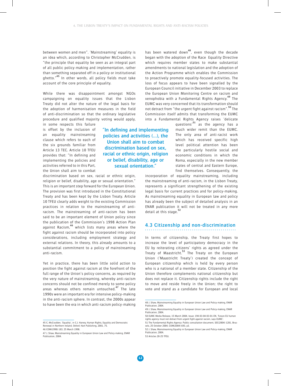**"In defining and implementing policies and activities (…), the Union shall aim to combat discrimination based on sex, racial or ethnic origin, religion or belief, disability, age or sexual orientation."**

between women and men". 'Mainstreaming' equality is an idea which, according to Christopher McCrudden, is "the principle that equality be seen as an integral part of all public policy-making and implementation, rather than something separated off in a policy or institutional ghetto."**<sup>45</sup>** In other words, all policy fields must take account of the core principle of equality.

While there was disappointment amongst NGOs campaigning on equality issues that the Lisbon Treaty did not alter the nature of the legal basis for the adoption of harmonisation measures in the field of anti-discrimination so that the ordinary legislative procedure and qualified majority voting would apply,

in some respects this failure is offset by the inclusion of an equality mainstreaming clause which refers to each of the six grounds familiar from Article 13 TEC. Article 10 TFEU provides that: "In defining and implementing the policies and activities referred to in this Part, the Union shall aim to combat

discrimination based on sex, racial or ethnic origin, religion or belief, disability, age or sexual orientation." This is an important step forward for the European Union. The provision was first introduced in the Constitutional Treaty and has been kept by the Lisbon Treaty. Article 10 TFEU clearly adds weight to the existing Commission practices in relation to the mainstreaming of antiracism. The mainstreaming of anti-racism has been said to be an important element of Union policy since the publication of the Commission's 1998 Action Plan against Racism,**<sup>46</sup>** which lists many areas where the fight against racism should be incorporated into policy considerations, including employment strategy and external relations. In theory, this already amounts to a substantial commitment to a policy of mainstreaming anti-racism.

Yet in practice, there has been little solid action to position the fight against racism at the forefront of the full range of the Union's policy concerns, as required by the very nature of mainstreaming, whereby anti-racism concerns should not be confined merely to some policy areas whereas others remain untouched.**<sup>47</sup>** The late 1990s were an important era for intensive policy-making in the anti-racism sphere. In contrast, the 2000s appear to have been the era in which anti-racism policy-making has been watered down**<sup>48</sup>**, even though the decade began with the adoption of the Race Equality Directive which requires member states to make substantial amendments to national legislation and the adoption of the Action Programme which enables the Commission to proactively promote equality-focused activities. The loss of focus appears to have been signalled by the European Council initiative in December 2003 to replace the European Union Monitoring Centre on racism and xenophobia with a Fundamental Rights Agency.**<sup>49</sup>** The EUMC was very concerned that its transformation should not detract from "the urgent fight against racism".**<sup>50</sup>** The Commission itself admits that transforming the EUMC into a Fundamental Rights Agency raises 'delicate

questions'**<sup>51</sup>** as the agency has a much wider remit than the EUMC. The only area of anti-racist work which has received specific high level political attention has been the particularly hostile social and economic conditions in which the Roma, especially in the new member states of central and Eastern Europe, find themselves. Consequently, the

incorporation of equality mainstreaming, including the mainstreaming of anti-racism, in the Lisbon Treaty, represents a significant strengthening of the existing legal basis for current practices and for policy-making. As mainstreaming equality in European law and policy has already been the subject of detailed analysis in an ENAR publication it will not be treated in any more detail at this stage.**<sup>52</sup>**

# **4.3 Citizenship and non-discrimination**

In terms of citizenship, the Treaty first hopes to increase the level of participatory democracy in the EU by reiterating citizens' rights as agreed under the Treaty of Maastricht.**<sup>53</sup>** The Treaty on the European Union ('Maastricht Treaty') created the concept of European citizenship which is held by every person who is a national of a member state. Citizenship of the Union therefore complements national citizenship but does not replace it. Citizenship rights include the right to move and reside freely in the Union; the right to vote and stand as a candidate for European and local

<sup>45</sup> C. McCrudden, 'Equality', in C.J. Harvey, Human Rights, Equality and Democratic Renewal in Northern Ireland, Oxford: Hart Publishing, 2001, 75. 46 COM(1998) 183, 25 March 1998.

<sup>47</sup> J. Shaw, Mainstreaming Equality in European Union Law and Policy-making, ENAR Publication, 2004.

<sup>48</sup> J. Shaw, Mainstreaming Equality in European Union Law and Policy-making, ENAR Publication, 2004.

<sup>49</sup> J. Shaw, Mainstreaming Equality in European Union Law and Policy-making, ENAR Publication, 2004.

<sup>50</sup> EUMC Media Release, 15 March 2004, Issue: 194-03-04-03-01-EN, 'Future EU human rights agency must not detract from urgent fight against racism, says EUMC'. 51 The Fundamental Rights Agency: Public consultation document, SEC(2004) 1281, Brus-

sels, 25 October 2004, COM(2004) 693, p3. 52 J. Shaw, Mainstreaming Equality in European Union Law and Policy-making, ENAR

Publication, 2004. 53 Articles 20-25 TFEU.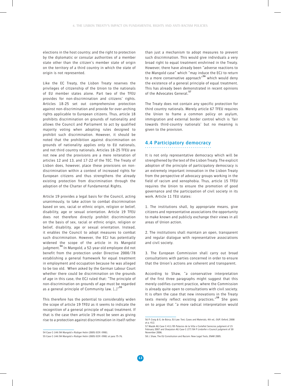elections in the host country; and the right to protection by the diplomatic or consular authorities of a member state other than the citizen's member state of origin on the territory of a third country in which the state of origin is not represented.

Like the EC Treaty, the Lisbon Treaty reserves the privileges of citizenship of the Union to the nationals of EU member states alone. Part two of the TFEU provides for non-discrimination and citizens' rights. Articles 18-25 set out comprehensive protection against non-discrimination and provide for over-arching rights applicable to European citizens. Thus, article 18 prohibits discrimination on grounds of nationality and allows the Council and Parliament to act by qualified majority voting when adopting rules designed to prohibit such discrimination. However, it should be noted that the prohibition against discrimination on grounds of nationality applies only to EU nationals, and not third country nationals. Articles 18-25 TFEU are not new and the provisions are a mere reiteration of articles 12 and 13, and 17-22 of the TEC. The Treaty of Lisbon does, however, place these provisions on nondiscrimination within a context of increased rights for European citizens and thus strengthens the already existing protection from discrimination through the adoption of the Charter of Fundamental Rights.

Article 19 provides a legal basis for the Council, acting unanimously, to take action to combat discrimination based on sex, racial or ethnic origin, religion or belief, disability, age or sexual orientation. Article 19 TFEU does not therefore directly prohibit discrimination on the basis of sex, racial or ethnic origin, religion or belief, disability, age or sexual orientation. Instead, it enables the Council to adopt measures to combat such discrimination. However, the ECJ has potentially widened the scope of the article in its Mangold judgment.**<sup>54</sup>** In Mangold, a 52-year old employee did not benefit from the protection under Directive 2000/78 establishing a general framework for equal treatment in employment and occupation because he was alleged to be too old. When asked by the German Labour Court whether there could be discrimination on the grounds of age in this case, the ECJ ruled that: "The principle of non-discrimination on grounds of age must be regarded as a general principle of Community law. […]"**<sup>55</sup>**

This therefore has the potential to considerably widen the scope of article 19 TFEU as it seems to indicate the recognition of a general principle of equal treatment. If that is the case then article 19 must be seen as giving rise to a protection against discrimination in itself rather

than just a mechanism to adopt measures to prevent such discrimination. This would give individuals a very broad right to equal treatment enshrined in the Treaty. However, there have already been "adverse reactions to the Mangold case" which "may induce the ECJ to return to a more conservative approach"**<sup>56</sup>** which would deny the existence of a general principle of equal treatment. This has already been demonstrated in recent opinions of the Advocates General.**<sup>57</sup>**

The Treaty does not contain any specific protection for third country nationals. Merely article 67 TFEU requires the Union to frame a common policy on asylum, immigration and external border control which is 'fair towards third-country nationals' but no meaning is given to the provision.

#### **4.4 Participatory democracy**

It is not only representative democracy which will be strengthened by the text of the Lisbon Treaty. The explicit adoption of the principle of participatory democracy is an extremely important innovation in the Lisbon Treaty from the perspective of advocacy groups working in the field of racism and xenophobia. Thus, article 15 TFEU requires the Union to ensure the promotion of good governance and the participation of civil society in its work. Article 11 TEU states:

1. The institutions shall, by appropriate means, give citizens and representative associations the opportunity to make known and publicly exchange their views in all areas of Union action.

2. The institutions shall maintain an open, transparent and regular dialogue with representative associations and civil society.

3. The European Commission shall carry out broad consultations with parties concerned in order to ensure that the Union's actions are coherent and transparent.

According to Shaw, "a conservative interpretation of the first three paragraphs might suggest that this merely codifies current practice, where the Commission is already quite open to consultations with civil society. It is often the case that new innovations in the Treaty texts merely reflect existing practices."**<sup>58</sup>** She goes on to argue that "a more radical interpretation would

<sup>54</sup> Case C-144/04 Mangold v Rüdiger Helm (2005) ECR I-9981.

<sup>55</sup> Case C-144/04 Mangold v Rüdiger Helm (2005) ECR I-9981 at para 75-76.

<sup>56</sup> P. Craig & G. de Búrca, EU Law: Text, Cases and Materials, 4th ed., OUP, Oxford, 2008 at p. 412. 57 Mazák AG Case C-411/05 Palacios de la Villa v Cortefiel Servicios judgment of 15

February 2007 and Sharpston AG Case C-277/04 P Lindorfer v Council judgment of 30 November 2006.

<sup>58</sup> J. Shaw, The EU Constitution and Racism: New Legal Tools, ENAR 2005.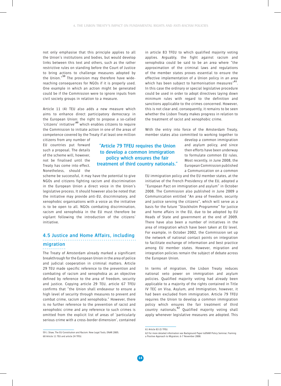not only emphasise that this principle applies to all the Union's institutions and bodies, but would develop links between this text and others, such as the rather restrictive rules on standing before the Court of Justice to bring actions to challenge measures adopted by the Union."**<sup>59</sup>** The provision may therefore have widereaching consequences for NGOs if it is properly used. One example in which an action might be generated could be if the Commission were to ignore inputs from civil society groups in relation to a measure.

Article 11 (4) TEU also adds a new measure which aims to enhance direct participatory democracy in the European Union: the right to propose a so-called 'citizens' initiative'**<sup>60</sup>** which enables citizens to require the Commission to initiate action in one of the areas of competence covered by the Treaty if at least one million

citizens from any number of EU countries put forward such a proposal. The details of the scheme will, however, not be finalised until the Treaty has come into effect. Nonetheless, should the

**"Article 79 TFEU requires the Union to develop a common immigration policy which ensures the fair treatment of third country nationals."**

scheme be successful, it may have the potential to give NGOs and citizens fighting racism and discrimination in the European Union a direct voice in the Union's legislative process. It should however also be noted that the initiative may provide anti-EU, discriminatory, and xenophobic organisations with a voice as the initiative is to be open to all. NGOs combating discrimination, racism and xenophobia in the EU must therefore be vigilant following the introduction of the citizens' initiative.

## **4.5 Justice and Home Affairs, including migration**

The Treaty of Amsterdam already marked a significant breakthrough for the European Union in the area of police and judicial cooperation in criminal matters. Article 29 TEU made specific reference to the prevention and combating of racism and xenophobia as an objective defined by reference to the area of freedom, security and justice. Copying article 29 TEU, article 67 TFEU confirms that "the Union shall endeavour to ensure a high level of security through measures to prevent and combat crime, racism and xenophobia." However, there is no further reference to the prevention of racist and xenophobic crime and any reference to such crimes is omitted from the explicit list of areas of 'particularly serious crime with a cross-border dimension', contained in article 83 TFEU to which qualified majority voting applies. Arguably, the fight against racism and xenophobia could be said to be an area where "the approximation of the criminal laws and regulations of the member states proves essential to ensure the effective implementation of a Union policy in an area which has been subject to harmonisation measures<sup>"61</sup>. In this case the ordinary or special legislative procedure could be used in order to adopt directives laying down minimum rules with regard to the definition and sanctions applicable to the crimes concerned. However, this is not clear and, consequently, it remains to be seen whether the Lisbon Treaty makes progress in relation to the treatment of racist and xenophobic crime.

With the entry into force of the Amsterdam Treaty, member states also committed to working together to

> develop a common immigration and asylum policy, and since then efforts have been underway to formulate common EU rules. Most recently, in June 2008, the European Commission published a Communication on a common

EU immigration policy and the EU member states, at the initiative of the French Presidency of the EU, adopted a "European Pact on immigration and asylum" in October 2008. The Commission also published in June 2009 a Communication entitled "An area of freedom, security and justice serving the citizens", which will serve as a basis for the future "Stockholm Programme" for justice and home affairs in the EU, due to be adopted by EU Heads of State and government at the end of 2009. There have also been a number of initiatives in the area of integration which have been taken at EU level. For example, in October 2002, the Commission set up the network of national contact points on integration to facilitate exchange of information and best practice among EU member states. However, migration and integration policies remain the subject of debate across the European Union.

In terms of migration, the Lisbon Treaty reduces national veto power on immigration and asylum policies. Qualified majority voting had already been applicable to a majority of the rights contained in Title IV TEC on Visa, Asylum, and Immigration, however, it had been excluded from immigration. Article 79 TFEU requires the Union to develop a common immigration policy which ensures the fair treatment of third country nationals.**<sup>62</sup>** Qualified majority voting shall apply whenever legislative measures are adopted. This

<sup>59</sup> J. Shaw, The EU Constitution and Racism: New Legal Tools, ENAR 2005. 60 Article 11 TEU and article 24 TFEU.

<sup>61</sup> Article 83 (2) TFEU.

<sup>62</sup> For more detailed information see Background Paper toENAR Policy Seminar, Framing a Positive Approach to Migration, 6-7 November 2008.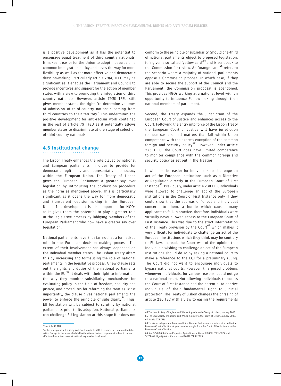is a positive development as it has the potential to encourage equal treatment of third country nationals. It makes it easier for the Union to adopt measures on a common immigration policy and paves the way for more flexibility as well as for more effective and democratic decision-making. Particularly article 79(4) TFEU may be significant as it enables the Parliament and Council to provide incentives and support for the action of member states with a view to promoting the integration of third country nationals. However, article 79(5) TFEU still gives member states the right "to determine volumes of admission of third-country nationals coming from third countries to their territory." This undermines the positive development for anti-racism work contained in the rest of article 79 TFEU as it potentially allows member states to discriminate at the stage of selection of third country nationals.

#### **4.6 Institutional change**

The Lisbon Treaty enhances the role played by national and European parliaments in order to provide for democratic legitimacy and representative democracy within the European Union. The Treaty of Lisbon gives the European Parliament a greater say over legislation by introducing the co-decision procedure as the norm as mentioned above. This is particularly significant as it opens the way for more democratic and transparent decision-making in the European Union. This development is also important for NGOs as it gives them the potential to play a greater role in the legislative process by lobbying Members of the

European Parliament who now have a greater say over

National parliaments have, thus far, not had a formalised role in the European decision making process. The extent of their involvement has always depended on the individual member states. The Lisbon Treaty alters this by increasing and formalising the role of national parliaments in the legislative process. A new clause sets out the rights and duties of the national parliaments within the EU.**<sup>63</sup>** It deals with their right to information, the way they monitor subsidiarity, mechanisms for evaluating policy in the field of freedom, security and justice, and procedures for reforming the treaties. Most importantly, the clause gives national parliaments the power to enforce the principle of subsidiarity<sup>64</sup>. Thus, EU legislation will be subject to scrutiny by national parliaments prior to its adoption. National parliaments can challenge EU legislation at this stage if it does not

legislation.

conform to the principle of subsidiarity. Should one-third of national parliaments object to proposed legislation, it is given a so-called 'yellow card'**<sup>65</sup>** and is sent back to the Commission for review. An 'orange card'**<sup>66</sup>** refers to the scenario where a majority of national parliaments oppose a Commission proposal in which case, if they are able to secure the support of the Council and the Parliament, the Commission proposal is abandoned. This provides NGOs working at a national level with an opportunity to influence EU law-making through their national members of parliament.

Second, the Treaty expands the jurisdiction of the European Court of Justice and enhances access to the Court. Following the entry into force of the Lisbon Treaty the European Court of Justice will have jurisdiction to hear cases on all matters that fall within Union competence with the express exception of the common foreign and security policy**<sup>67</sup>**. However, under article 275 TFEU, the Court does have limited competence to monitor compliance with the common foreign and security policy as set out in the Treaties.

It will also be easier for individuals to challenge an act of the European institutions such as a Directive or Regulation directly in the European Court of First Instance**<sup>68</sup>**. Previously, under article 230 TEC, individuals were allowed to challenge an act of the European institutions in the Court of First Instance only if they could show that the act was of 'direct and individual concern' to them, a hurdle which caused many applicants to fail. In practice, therefore, individuals were virtually never allowed access to the European Court of First Instance. This was due to the strict interpretation of the Treaty provision by the Court**<sup>69</sup>** which makes it very difficult for individuals to challenge an act of the European institutions which they think may be contrary to EU law. Instead, the Court was of the opinion that individuals wishing to challenge an act of the European institutions should do so by asking a national court to make a reference to the ECJ for a preliminary ruling. The Court did not want to encourage individuals to bypass national courts. However, this posed problems whenever individuals, for various reasons, could not go to a national court. Not allowing individuals to access the Court of First Instance had the potential to deprive individuals of their fundamental right to judicial protection. The Treaty of Lisbon changes the phrasing of article 230 TEC with a view to easing the requirements

<sup>63</sup> Article 48 TEU.

<sup>64</sup> The principle of subsidiarity is defined in Article 5EC. It requires the Union not to take action (except in the areas which fall within its exclusive competence) unless it is more effective than action taken at national, regional or local level.

<sup>65</sup> The Law Society of England and Wales, A guide to the Treaty of Lisbon, January 2008. 66 The Law Society of England and Wales, A guide to the Treaty of Lisbon, January 2008. 67 Article 275 TFEU.

<sup>68</sup> This is an independent European Union Court of first instance which is attached to the European Court of Justice. Appeals can be brought from the Court of First Instance to the European Court of Justice.

<sup>69</sup> See C-50/00 Unión de Pequeños Agricultores v. Council [2002] ECR I-6677 and T-177/01 Jégo-Quéré v. Commission [2002] ECR II-2365.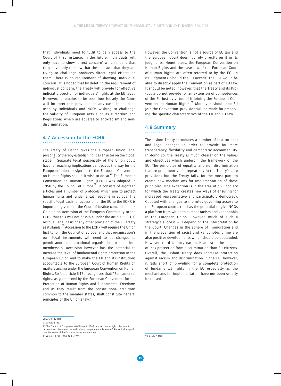that individuals need to fulfil to gain access to the Court of First Instance. In the future, individuals will only have to show 'direct concern' which means that they have only to show that the measure that they are trying to challenge produces direct legal effects on them. There is no requirement of showing 'individual concern'. It is hoped that by deleting the requirement of individual concern, the Treaty will provide for effective judicial protection of individuals' rights at the EU level. However, it remains to be seen how loosely the Court will interpret this provision. In any case, it could be used by individuals and NGOs wishing to challenge the validity of European acts such as Directives and Regulations which are adverse to anti-racism and nondiscrimination.

#### **4.7 Accession to the ECHR**

The Treaty of Lisbon gives the European Union legal personality thereby establishing it as an actor on the global stage.**<sup>70</sup>** Separate legal personality of the Union could have far reaching implications as it paves the way for the European Union to sign up to the European Convention on Human Rights should it wish to do so.**<sup>71</sup>** The European Convention on Human Rights (ECHR) was adopted in 1950 by the Council of Europe**<sup>72</sup>**. It consists of eighteen articles and a number of protocols which aim to protect human rights and fundamental freedoms in Europe. The specific legal basis for accession of the EU to the ECHR is important, given that the Court of Justice concluded in its Opinion on Accession of the European Community to the ECHR that this was not possible under the article 308 TEC residual legal basis or any other provision of the EC Treaty as it stands.**<sup>73</sup>** Accession to the ECHR will require the Union first to join the Council of Europe, and that organisation's own legal instruments will need to be changed to permit another international organisation to come into membership. Accession however has the potential to increase the level of fundamental rights protection in the European Union and to make the EU and its institutions accountable to the European Court of Human Rights on matters arising under the European Convention on Human Rights. So far, article 6 TEU recognises that: "Fundamental rights, as guaranteed by the European Convention for the Protection of Human Rights and Fundamental Freedoms and as they result from the constitutional traditions common to the member states, shall constitute general principles of the Union's law."

However, the Convention is not a source of EU law and the European Court does not rely directly on it in its judgments. Nonetheless, the European Convention on Human Rights and the case law of the European Court of Human Rights are often referred to by the ECJ in its judgments. Should the EU accede, the ECJ would be able to directly apply the Convention as part of EU law. It should be noted, however, that the Treaty and its Protocols do not provide for an extension of competences of the EU just by virtue of it joining the European Convention on Human Rights.**<sup>74</sup>** Moreover, should the EU join the Convention, provision will be made for preserving the specific characteristics of the EU and EU law.

#### **4.8 Summary**

The Lisbon Treaty introduces a number of institutional and legal changes in order to provide for more transparency, flexibility and democratic accountability. In doing so, the Treaty is much clearer on the values and objectives which underpin the framework of the EU. The principles of equality and non-discrimination feature prominently and repeatedly in the Treaty's core provisions but the Treaty fails, for the most part, to create new mechanisms for implementation of these principles. One exception is in the area of civil society for which the Treaty creates new ways of ensuring for increased representative and participatory democracy. Coupled with changes to the rules governing access to the European courts, this has the potential to give NGOs a platform from which to combat racism and xenophobia in the European Union. However, much of such a strategy's success will depend on the interpretation by the Court. Changes in the sphere of immigration and in the prevention of racist and xenophobic crime are also positive developments which should be applauded. However, third country nationals are still the subject of less protection from discrimination than EU citizens. Overall, the Lisbon Treaty does increase protection against racism and discrimination in the EU, however, it falls short of providing for a complete protection of fundamental rights in the EU especially as the mechanisms for implementation have not been greatly increased.

73 Opinion 2/94 [1996] ECR I-1759.

74 Article 6 TEU.

<sup>70</sup> Article 47 TEU.

<sup>71</sup> Article 6 TEU.

<sup>72</sup> The Council of Europe was established in 1949 to foster human rights, democratic development, the rule of law and cultural co-operation in Europe. 47 States, including all member states of the European Union, are members.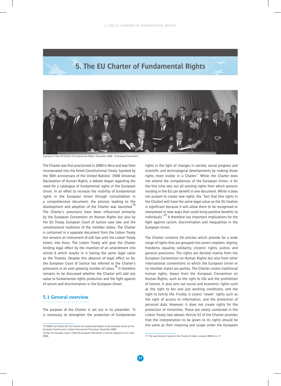



Signature of the EU Charter of Fundamental Rights, December 2000 - © European Parliament

The Charter was first proclaimed in 2000 in Nice and was then incorporated into the failed Constitutional Treaty. Sparked by the 50th anniversary of the United Nations' 1948 Universal Declaration of Human Rights, a debate began regarding the need for a catalogue of fundamental rights in the European Union. In an effort to increase the visibility of fundamental rights in the European Union through consolidation in a comprehensive document, the process leading to the development and adoption of the Charter was launched.**<sup>75</sup>** The Charter's provisions have been influenced primarily by the European Convention on Human Rights but also by the EU Treaty, European Court of Justice case law, and the constitutional traditions of the member states. The Charter is contained in a separate document from the Lisbon Treaty but remains an instrument of soft law until the Lisbon Treaty enters into force. The Lisbon Treaty will give the Charter binding legal effect by the insertion of an amendment into article 6 which results in it having the same legal value as the Treaties. Despite this absence of legal effect so far, the European Court of Justice has referred to the Charter's provisions in an ever-growing number of cases.**<sup>76</sup>** It therefore remains to be discussed whether the Charter will add any value to fundamental rights protection and the fight against of racism and discrimination in the European Union.

#### **5.1 General overview**

The purpose of the Charter is set out in its preamble: "It is necessary to strengthen the protection of fundamental rights in the light of changes in society, social progress and scientific and technological developments by making those rights more visible in a Charter." While the Charter does not extend the competences of the European Union, it for the first time sets out all existing rights from which persons residing in the EU can benefit in one document. While it does not purport to create new rights, the "fact that [the rights in the Charter] will have the same legal value as the EU treaties is significant because it will allow them to be recognised or interpreted in new ways that could bring positive benefits to individuals."**<sup>77</sup>** It therefore has important implications for the fight against racism, discrimination and inequalities in the European Union.

The Charter contains 54 articles which provide for a wide range of rights that are grouped into seven chapters: dignity, freedoms, equality, solidarity, citizens' rights, justice, and general provisions. The rights are derived mainly from the European Convention on Human Rights but also from other international conventions to which the European Union or its member states are parties. The Charter covers traditional human rights, drawn from the European Convention on Human Rights, such as the right to life and the prohibition of torture. It also sets out social and economic rights such as the right to fair and just working conditions, and the right to family life. Finally, it covers 'newer' rights such as the right of access to information, and the protection of personal data. However, it does not create rights for the protection of minorities. These are solely contained in the Lisbon Treaty (see above). Article 52 of the Charter provides that the interpretation to be given to its rights should be the same as their meaning and scope under the European

<sup>75</sup> ENAR, Fact Sheet 30: The Charter of Fundamental Rights of the European Union & The European Commission's Impact Assessment Procedure, December 2006. 76 See, for example, Case C-540/03 European Parliament v Council judgment of 27 June 2006.

<sup>77</sup> The Law Society, A guide to the Treaty of Lisbon, January 2008 at p. 17.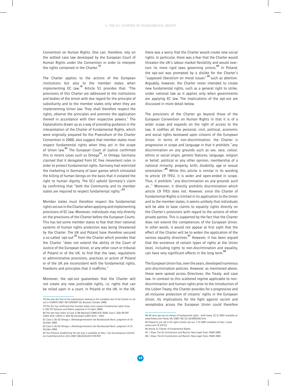Convention on Human Rights. One can, therefore, rely on the settled case law developed by the European Court of Human Rights under the Convention in order to interpret the rights contained in the Charter.**<sup>78</sup>**

The Charter applies to the actions of the European institutions but also to the member states when implementing EC law.**<sup>79</sup>** Article 51 provides that: "The provisions of this Charter are addressed to the institutions and bodies of the Union with due regard for the principle of subsidiarity and to the member states only when they are implementing Union law. They shall therefore respect the rights, observe the principles and promote the application thereof in accordance with their respective powers." The Explanations drawn up as a way of providing guidance in the interpretation of the Charter of Fundamental Rights, which were originally prepared for the Praesidium of the Charter Convention in 2000, also suggest that member states must respect fundamental rights when they act in the scope of Union law.**<sup>80</sup>** The European Court of Justice confirmed this in recent cases such as Omega**<sup>81</sup>**. In Omega, Germany claimed that it derogated from EC free movement rules in order to protect fundamental rights. Germany had restricted the marketing in Germany of laser games which simulated the killing of human beings on the basis that it violated the right to human dignity. The ECJ upheld Germany's claim by confirming that "both the Community and its member states are required to respect fundamental rights."**<sup>82</sup>**

Member states must therefore respect the fundamental rights set out in the Charter when applying and implementing provisions of EC law. Moreover, individuals may rely directly on the provisions of the Charter before the European Courts. This has led some member states to fear that their national systems of human rights protection was being threatened by the Charter. The UK and Poland have therefore secured a so-called 'opt-out'**<sup>83</sup>** from the Charter which provides that the Charter "does not extend the ability of the Court of Justice of the European Union, or any other court or tribunal of Poland or of the UK, to find that the laws, regulations or administrative provisions, practices or action of Poland or of the UK are inconsistent with the fundamental rights, freedoms and principles that it reaffirms."

Moreover, the opt-out guarantees that the Charter will not create any new justiciable rights, i.e. rights that can be relied upon in a court, in Poland or the UK. In the UK, there was a worry that the Charter would create new social rights. In particular, there was a fear that the Charter would threaten the UK's labour market flexibility and would overturn its more rigid laws governing unions.**<sup>84</sup>** In Poland, the opt-out was prompted by a dislike for the Charter's "supposed liberalism on moral issues"**<sup>85</sup>**such as abortion. Arguably, however, the Charter never intended to create new fundamental rights, such as a general right to strike, under national law as it applies only when governments are applying EC law. The implications of the opt-out are discussed in more detail below.

The provisions of the Charter go beyond those of the European Convention on Human Rights in that it is of a wider scope and expands on the right of access to the law. It codifies all the personal, civil, political, economic and social rights bestowed upon citizens of the European Union. In terms of non-discrimination, the Charter is progressive in scope and language in that it prohibits "any discrimination on any grounds such as sex, race, colour, ethnic or social origin, genetic features, language, religion or belief, political or any other opinion, membership of a national minority, property, birth, disability, age or sexual orientation."**<sup>86</sup>** While this article is similar in its wording to article 19 TFEU, it is wider and open-ended in scope. Thus, it prohibits "any discrimination on any grounds such as..." Moreover, it directly prohibits discrimination which article 19 TFEU does not. However, since the Charter of Fundamental Rights is limited in its application to the Union and to the member states, it seems unlikely that individuals will be able to base claims to equality rights directly on the Charter's provisions with regard to the actions of other private parties. This is supported by the fact that the Charter does not extend the competences of the European Union. In other words, it would not appear at first sight that the effect of the Charter will be to widen the application of the various equality directives.**<sup>87</sup>** However, it has been argued that the existence of certain types of rights at the Union level, including rights to non-discrimination and equality, can have very significant effects in the long term.**<sup>88</sup>**

The European Union has, over the years, developed numerous anti-discrimination policies. However, as mentioned above, these were spread across Directives, the Treaty, and case law. In contrast to this scattered regime applicable to nondiscrimination and human rights prior to the introduction of the Lisbon Treaty, the Charter provides for a progressive and all-inclusive protection of citizens' rights in the European Union. Its implications for the fight against racism and xenophobia across the European Union could therefore

<sup>78</sup> See also the Text of the explanations relating to the complete text of the Charter as set out in CHARTE 4487/00 CONVENT 50, Brussels, October 2000.

<sup>79</sup> The ECJ has confirmed that member states must respect fundamental rights (Case C-292/97 Karlsson and Others judgment of 13 April 2000). 80 The text here refers to Case 5/88 Wachauf [1989] ECR 2609; Case C-260/89 ERT

<sup>[1991]</sup> ECR I-2925); C-309/96 Annibaldi [1997] ECR I- 7493.

<sup>81</sup> Case C-36/02 Omega v. Oberbürgermeisterin der Bundesstadt Bonn, judgment of 14 October 2004. 82 Case C-36/02 Omega v. Oberbürgermeisterin der Bundesstadt Bonn, judgment of 14

October 2004.

<sup>83</sup> The Protocol establishing the opt outs is available at http://eur-lex.europa.eu/LexUriServ/LexUriServ.do?uri=OJ:C:2007:306:0156:0157:EN:PDF

<sup>84</sup> UK wins opt out on charter of fundamental rights - draft treaty, 22/6/2007 available at www.forbes.com/feeds/afx/2007/06/22/afx3850256.html. 85 Poland to join UK in EU rights charter opt out, 7/9/2007 available at http://euob-

server.com/9/24723.

<sup>86</sup> Article 21 Charter of Fundamental Rights.

<sup>87</sup> J. Shaw, The EU Constitution and Racism: New Legal Tools, ENAR 2005.

<sup>88</sup> J. Shaw, The EU Constitution and Racism: New Legal Tools, ENAR 2005.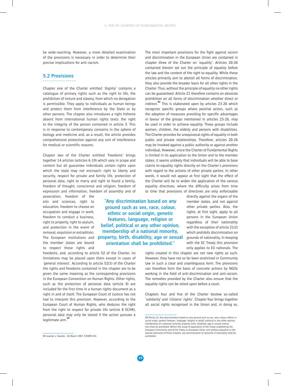be wide-reaching. However, a more detailed examination of the provisions is necessary in order to determine their precise implications for anti-racism.

#### **5.2 Provisions**

Chapter one of the Charter entitled 'dignity' contains a catalogue of primary rights such as the right to life, the prohibition of torture and slavery, from which no derogation is permissible. They apply to individuals as human beings and protect them from interference by the State or by other persons. The chapter also introduces a right hitherto absent from international human rights texts: the right to the integrity of the person contained in article 3. This is in response to contemporary concerns in the sphere of biology and medicine and, as a result, the article provides comprehensive protection against any sort of interference for medical or scientific reasons.

Chapter two of the Charter entitled 'freedoms' brings together 14 articles (articles 6-19) which vary in scope and content but all guarantee individuals certain rights upon which the state may not encroach: right to liberty and security, respect for private and family life, protection of personal data, right to marry and right to found a family, freedom of thought, conscience and religion, freedom of expression and information, freedom of assembly and of

association, freedom of the arts and sciences, right to education, freedom to choose an occupation and engage in work, freedom to conduct a business, right to property, right to asylum, and protection in the event of removal, expulsion or extradition. The European institutions and the member states are bound to respect these rights and

**"Any discrimination based on any ground such as sex, race, colour, ethnic or social origin, genetic features, language, religion or belief, political or any other opinion, membership of a national minority, property, birth, disability, age or sexual orientation shall be prohibited."**

freedoms, and, according to article 52 of the Charter, no limitations may be placed upon them except in cases of 'general interest'. According to article 52(3) of the Charter the rights and freedoms contained in the chapter are to be given the same meaning as the corresponding provisions in the European Convention on Human Rights. Other rights, such as the protection of personal data (article 8) are included for the first time in a human rights document as a right in and of itself. The European Court of Justice has not had to interpret this provision. However, according to the European Court of Human Rights, who deduces the right from the right to respect for private life (article 8 ECHR), personal data may only be stored if the action pursues a legitimate aim.**<sup>89</sup>**

The most important provisions for the fight against racism and discrimination in the European Union are contained in chapter three of the Charter on 'equality'. Articles 20-26 contained therein set out the principle of equality before the law and the content of the right to equality. While these articles primarily aim to abolish all forms of discrimination, they also provide the broader basis for all other rights in the Charter. Thus, without the principle of equality no other rights can be guaranteed. Article 21 therefore contains an absolute prohibition on all forms of discrimination whether direct or indirect.**<sup>90</sup>** This is elaborated upon by articles 23-26 which recognise specific groups where positive action, such as the adoption of measures providing for specific advantages in favour of the groups mentioned in articles 23-26, may be used in order to achieve equality. These groups include women, children, the elderly and persons with disabilities. The Charter provides for unequivocal rights of equality in both public and private relationships. Therefore, articles 20-26 may be invoked against a public authority or against another individual. However, since the Charter of Fundamental Rights is limited in its application to the Union and to the member states, it seems unlikely that individuals will be able to base claims to equality rights directly on the Charter's provisions with regard to the actions of other private parties. In other words, it would not appear at first sight that the effect of the Charter will be to widen the application of the various equality directives, where the difficulty arises from time to time that provisions of directives are only enforceable

> directly against the organs of the member states, and not against other private parties. Also, the rights, at first sight, apply to all persons in the European Union regardless of their nationality with the exception of article 21(2) which prohibits discrimination on grounds of nationality. In keeping with the EC Treaty this provision only applies to EU nationals. The

rights created in this chapter are not new rights as such. However, they have not so far been enshrined in Community law in such a clear and unambiguous form. The provisions can therefore form the basis of concrete actions by NGOs working in the field of anti-discrimination and anti-racism. The remedies provided by the Charter also ensure that the equality rights can be relied upon before a court.

Chapters four and five of the Charter bestow so-called 'solidarity' and 'citizens' rights'. Chapter four brings together all social rights recognised in the Union and, in doing so,

<sup>89</sup> Leander v. Sweden 26 March 1987, 9 EHRR 433.

<sup>90</sup> Article 21: Any discrimination based on any ground such as sex, race, colour, ethnic or social origin, genetic features, language, religion or belief, political or any other opinionical or any other opinion, membership of a national minority, property, birth, disability, age or sexual orientation shall be prohibited. Within the scope of application of the Treaty establishing the European Community and of the Treaty on European Union, and without prejudice to the special provisions of those Treaties, any discrimination on grounds of nationality shall be prohibited.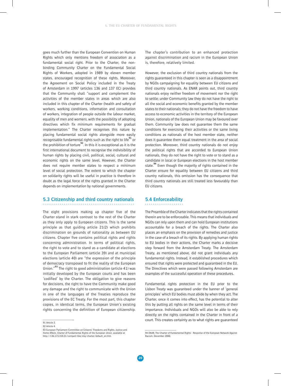goes much further than the European Convention on Human Rights which only mentions freedom of association as a fundamental social right. Prior to the Charter, the nonbinding Community Charter on the Fundamental Social Rights of Workers, adopted in 1989 by eleven member states, encouraged recognition of these rights. Moreover, the Agreement on Social Policy included in the Treaty of Amsterdam in 1997 (articles 136 and 137 EC) provides that the Community shall "support and complement the activities of the member states in areas which are also included in this chapter of the Charter (health and safety of workers, working conditions, information and consultation of workers, integration of people outside the labour market, equality of men and women), with the possibility of adopting directives which fix minimum requirements for gradual implementation." The Charter recognises this nature by placing fundamental social rights alongside more easily recognisable fundamental rights such as the right to life**<sup>91</sup>** or the prohibition of torture**<sup>92</sup>**. In this it is exceptional as it is the first international document to recognise the indivisibility of human rights by placing civil, political, social, cultural and economic rights on the same level. However, the Charter does not require member states to respect a minimum level of social protection. The extent to which the chapter on solidarity rights will be useful in practice is therefore in doubt as the legal force of the rights granted in the Charter depends on implementation by national governments.

### **5.3 Citizenship and third country nationals**

The eight provisions making up chapter five of the Charter stand in stark contrast to the rest of the Charter as they only apply to European citizens. This is the same principle as that guiding article 21(2) which prohibits discrimination on grounds of nationality as between EU citizens. Chapter five contains political rights and rights concerning administration. In terms of political rights, the right to vote and to stand as a candidate at elections to the European Parliament (article 39) and at municipal elections (article 40) are "the expression of the principle of democracy transposed to fit the reality of the European Union."**<sup>93</sup>** The right to good administration (article 41) was initially developed by the European courts and has been 'codified' by the Charter. The obligation to give reasons for decisions, the right to have the Community make good any damage and the right to communicate with the Union in one of the languages of the Treaties reproduce the provisions of the EC Treaty. For the most part, this chapter copies, in identical terms, the European Union's existing rights concerning the definition of European citizenship. The chapter's contribution to an enhanced protection against discrimination and racism in the European Union is, therefore, relatively limited.

However, the exclusion of third country nationals from the rights guaranteed in this chapter is seen as a disappointment by NGOs campaigning for equality between EU citizens and third country nationals. As ENAR points out, third country nationals enjoy neither freedom of movement nor the right to settle; under Community law they do not have the right to all the social and economic benefits granted by the member states to their nationals; they do not have the freedom to have access to economic activities in the territory of the European Union, nationals of the European Union may be favoured over them. Community law does not guarantee them the same conditions for exercising their activities or the same living conditions as nationals of the host member state, neither does it guarantee them equal treatment in the area of social protection. Moreover, third country nationals do not enjoy the political rights that are accorded to European Union nationals, they do not have the right to vote or to stand as a candidate in local or European elections in the host member state.**<sup>94</sup>** Even though the majority of rights contained in the Charter ensure for equality between EU citizens and third country nationals, this omission has the consequence that third country nationals are still treated less favourably than EU citizens.

#### **5.4 Enforceability**

The Preamble of the Charter indicates that the rights contained therein are to be enforceable. This means that individuals and NGOs can rely upon them and can hold European institutions accountable for a breach of the rights. The Charter also places an emphasis on the provision of remedies and justice in the case of a breach of its rights. By applying human rights to EU bodies in their actions, the Charter marks a decisive step forward from the Amsterdam Treaty. The Amsterdam Treaty, as mentioned above, did not grant individuals any fundamental rights. Instead, it established procedures which ensured that rights were protected and guaranteed in the EU. The Directives which were passed following Amsterdam are examples of the successful operation of these procedures.

Fundamental rights protection in the EU prior to the Lisbon Treaty was guaranteed under the banner of 'general principles' which EU bodies must abide by when they act. The Charter, once it comes into effect, has the potential to alter this by putting all rights on the same level in terms of their importance. Individuals and NGOs will also be able to rely directly on the rights contained in the Charter in front of a court. This creates certainty as to what rights are guaranteed

<sup>91</sup> Article 2.

<sup>92</sup> Article 4.

<sup>93</sup> European Parliament Committee on Citizens' Freedoms and Rights, Justice and Home Affairs, Charter of Fundamental Rights of the European Union, available at http://136.173.159.21/comparl/libe/elsj/charter/default\_en.htm.

<sup>94</sup> ENAR, The Charter of Fundamental Rights - Response of the European Network Against Racism, December 2000.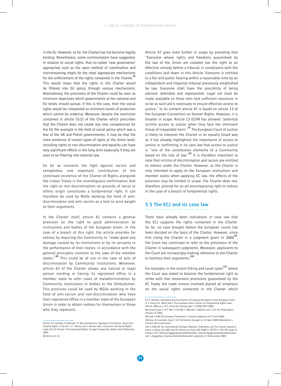in the EU. However, so far, the Charter has not become legally binding. Nonetheless, some commentators have suggested, in relation to social rights, that so-called 'new governance' approaches such as the open method of coordination and mainstreaming might be the most appropriate mechanisms for the enforcement of the rights contained in the Charter.**<sup>95</sup>** This would mean that the rights in the Charter would be filtered into EU policy through various mechanisms. Alternatively, the provisions of the Charter could be seen as minimum objectives which governments at the national and EU levels should pursue. If this is the case, then the social rights would be interpreted as minimum levels of protection which cannot be undercut. Moreover, despite the restriction contained in article 51(2) of the Charter which prescribes that the Charter does not create any new competences for the EU (for example in the field of social policy which was a fear of the UK and Polish governments), it may be that the mere existence of certain types of rights at the Union level, including rights to non-discrimination and equality can have very significant effects in the long term especially if they are seen to be filtering into national law.

So far as concerns the fight against racism and xenophobia, one important contribution of the continued existence of the Charter of Rights alongside the Lisbon Treaty is the unambiguous confirmation that the right to non-discrimination on grounds of racial or ethnic origin constitutes a fundamental right. It can therefore be used by NGOs working the field of antidiscrimination and anti-racism as a tool to lend weight to their arguments.

In the Charter itself, article 41 contains a general provision on the right to good administration by institutions and bodies of the European Union. In the case of a breach of this right, the article provides for redress by requiring the Community to "make good any damage caused by its institutions or by its servants in the performance of their duties, in accordance with the general principles common to the laws of the member states."**<sup>96</sup>** This could be of use in the case of acts of discrimination by Community institutions. Moreover, article 43 of the Charter allows any natural or legal person residing or having its registered office in a member state to refer cases of maladministration by Community institutions or bodies to the Ombudsman. This provision could be used by NGOs working in the field of anti-racism and non-discrimination who have their registered office in a member state of the European Union in order to obtain redress for themselves or those who they represent.

Article 47 goes even further in scope by providing that "Everyone whose rights and freedoms guaranteed by the law of the Union are violated has the right to an effective remedy before a tribunal in compliance with the conditions laid down in this Article. Everyone is entitled to a fair and public hearing within a reasonable time by an independent and impartial tribunal previously established by law. Everyone shall have the possibility of being advised, defended and represented. Legal aid shall be made available to those who lack sufficient resources in so far as such aid is necessary to ensure effective access to justice." In its content article 47 is based on article 13 of the European Convention on Human Rights. However, it is broader in scope. Article 13 ECHR has allowed "potential victims access to justice when they face the imminent threat of irreparable harm."**<sup>97</sup>** The European Court of Justice is likely to interpret the Charter in an equally broad way as it has already highlighted the importance of access to justice in confirming in its case law that access to justice is "one of the constitutive elements of a Community based on the rule of law."**<sup>98</sup>** It is therefore important to note that victims of discrimination and racism are entitled to redress under the Charter. However, as the Charter is only intended to apply to the European institutions and member states when applying EC law, the effects of the provision may be limited in scope. The Charter does not, therefore, provide for an all-encompassing right to redress in the case of a breach of fundamental rights.

#### **5.5 The ECJ and its case law**

There have already been indications in case law that the ECJ supports the rights contained in the Charter. So far, no case brought before the European courts has been decided on the basis of the Charter. However, since first citing the Charter in a judgment given in 2006**<sup>99</sup>**, the Court has continued to refer to the provisions of the Charter in subsequent judgments. Moreover, applicants to the Court are increasingly making reference to the Charter to buttress their arguments.**<sup>100</sup>**

For example, in the recent Viking and Laval cases<sup>101</sup> where the Court was asked to balance the fundamental right to strike with free movement provisions guaranteed by the EC Treaty the trade unions involved placed an emphasis on the social rights contained in the Charter which

<sup>95</sup> See, for example, N. Bernard, 'A 'New Governance' Approach to Economic, Social and Cultural Rights in the EU', in T. Hervey and J. Kenner (eds.), Economic and Social Rights under the EU Charter of Fundamental Rights. A Legal Perspective, Oxford: Hart Publishing, 2003.

<sup>97</sup> D. Shelton, 'Remedies and the Charter of Fundamental Rights of the European Union' in S. Peers & A. Ward (eds.), The European Union Charter of Fundamental Rights, Hart, Oxford, 2004 at p. 357 citing the Soering case 11 EHRR 439 (1989).

<sup>98</sup> Joined Cases T-377/00, T-379/00, T-380/00, T-260/01 and T-272/01 Philip Morris January 15 2003. 99 Case C-540/03 European Parliament v Council judgment of 27 June 2006.

<sup>100</sup> See, for example, Case T-127/09 (Action brought on 15 April 2009) Abdulrahim v Council and Commission.

<sup>101</sup> C-438/05 The International Transport Workers' Federation and The Finnish Seamen's Union v Viking Line ABP and OÜ Viking Line Eesti ECR [2007] I-10779; C-341/05 Laval un Partneri Ltd v Svenska Byggnadsarbetareförbundet, Svenska Byggnadsarbetareförbundets avd. 1, Byggettan, Svenska Elektrikerförbundet judgment of 18 December 2007.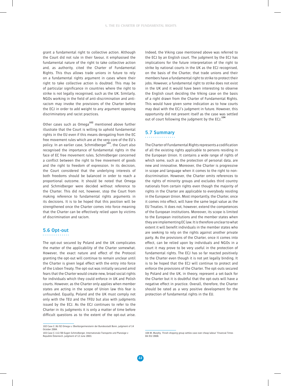grant a fundamental right to collective action. Although the Court did not rule in their favour, it emphasised the fundamental nature of the right to take collective action and, as authority, cited the Charter of Fundamental Rights. This thus allows trade unions in future to rely on a fundamental rights argument in cases where their right to take collective action is doubted. This may be of particular significance in countries where the right to strike is not legally recognised, such as the UK. Similarly, NGOs working in the field of anti-discrimination and antiracism may invoke the provisions of the Charter before the ECJ in order to add weight to any argument opposing discriminatory and racist practices.

Other cases such as Omega**<sup>102</sup>** mentioned above further illustrate that the Court is willing to uphold fundamental rights in the EU even if this means derogating from the EC free movement rules which are at the very core of the EU's policy. In an earlier case, Schmidberger**<sup>103</sup>**, the Court also recognised the importance of fundamental rights in the face of EC free movement rules. Schmidberger concerned a conflict between the right to free movement of goods and the right to freedom of expression. In its decision, the Court considered that the underlying interests of both freedoms should be balanced in order to reach a proportional outcome. It should be noted that Omega and Schmidberger were decided without reference to the Charter. This did not, however, stop the Court from making reference to fundamental rights arguments in its decisions. It is to be hoped that this position will be strengthened once the Charter comes into force meaning that the Charter can be effectively relied upon by victims of discrimination and racism.

## **5.6 Opt-out**

The opt-out secured by Poland and the UK complicates the matter of the applicability of the Charter somewhat. However, the exact nature and effect of the Protocol granting the opt-out will continue to remain unclear until the Charter is given legal effect with the entry into force of the Lisbon Treaty. The opt-out was initially secured amid fears that the Charter would create new, broad social rights for individuals which they could enforce in UK and Polish courts. However, as the Charter only applies when member states are acting in the scope of Union law this fear is unfounded. Equally, Poland and the UK must comply not only with the TEU and the TFEU but also with judgments issued by the ECJ. As the ECJ continues to refer to the Charter in its judgments it is only a matter of time before difficult questions as to the extent of the opt-out arise.

Indeed, the Viking case mentioned above was referred to the ECJ by an English court. The judgment by the ECJ has implications for the future interpretation of the right to strike by national courts in the UK as the ECJ recognised, on the basis of the Charter, that trade unions and their members have a fundamental right to strike to protect their jobs. However, a fundamental right to strike does not exist in the UK and it would have been interesting to observe the English court deciding the Viking case on the basis of a right drawn from the Charter of Fundamental Rights. This would have given some indication as to how courts may deal with the ECJ's judgment in future. However, this opportunity did not present itself as the case was settled out of court following the judgment by the ECJ.**<sup>104</sup>**

# **5.7 Summary**

The Charter of Fundamental Rights represents a codification of all the existing rights applicable to persons residing in the European Union. It contains a wide range of rights of which some, such as the protection of personal data, are new and innovative. Moreover, the Charter is progressive in scope and language when it comes to the right to nondiscrimination. However, the Charter omits references to the rights of minority groups and excludes third country nationals from certain rights even though the majority of rights in the Charter are applicable to everybody residing in the European Union. Most importantly, the Charter, once it comes into effect, will have the same legal value as the EU Treaties. It does not, however, extend the competences of the European institutions. Moreover, its scope is limited to the European institutions and the member states when they are implementing EC law. It is therefore unclear to what extent it will benefit individuals in the member states who are seeking to rely on the rights against another private party. As the provisions of the Charter, once it comes into effect, can be relied upon by individuals and NGOs in a court it may prove to be very useful in the protection of fundamental rights. The ECJ has so far reacted positively to the Charter even though it is not yet legally binding. It is to be hoped that the ECJ will continue to protect and enforce the provisions of the Charter. The opt-outs secured by Poland and the UK, in theory, represent a set-back for the Charter but it is doubtful that the opt-outs will have a negative effect in practice. Overall, therefore, the Charter should be rated as a very positive development for the protection of fundamental rights in the EU.

<sup>102</sup> Case C-36/02 Omega v. Oberbürgermeisterin der Bundesstadt Bonn, judgment of 14 October 2004.

<sup>103</sup> Case C-112/00 Eugen Schmidberger, Internationale Transporte und Planzüge v Republik Österreich, judgment of 12 June 2003.

<sup>104</sup> M. Murphy, 'Finish shipping group settles case over cheap labour' Financial Times 04/03/2008.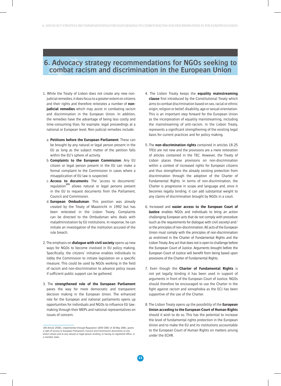# **6. Advocacy strategy recommendations for NGOs seeking to combat racism and discrimination in the European Union**

- 1. While the Treaty of Lisbon does not create any new nonjudicial remedies, it does focus to a greater extent on citizens and their rights and therefore reiterates a number of **nonjudicial remedies** which may assist in combating racism and discrimination in the European Union. In addition, the remedies have the advantage of being less costly and time-consuming than, for example, legal proceedings at a national or European level. Non-judicial remedies include:
	- a. **Petitions before the European Parliament**: These can be brought by any natural or legal person present in the EU as long as the subject matter of the petition falls within the EU's sphere of activity.
	- b. **Complaints to the European Commission**: Any EU citizen or legal person present in the EU can make a formal complaint to the Commission in cases where a misapplication of EU law is suspected.
	- c. **Access to documents**: The 'access to documents' regulation**<sup>105</sup>** allows natural or legal persons present in the EU to request documents from the Parliament, Council and Commission.
	- d. **European Ombudsman**: This position was already created by the Treaty of Maastricht in 1992 but has been reiterated in the Lisbon Treaty. Complaints can be directed to the Ombudsman who deals with maladministration by EU institutions. In response, he can initiate an investigation of the institution accused of the rule breach.
- 2. The emphasis on **dialogue with civil society** opens up new ways for NGOs to become involved in EU policy making. Specifically, the citizens' initiative enables individuals to lobby the Commission to initiate legislation on a specific measure. This could be used by NGOs working in the field of racism and non-discrimination to advance policy issues if sufficient public support can be gathered.
- 3. The **strengthened role of the European Parliament** paves the way for more democratic and transparent decision making in the European Union. The enhanced role for the European and national parliaments opens up opportunities for individuals and NGOs to influence EU lawmaking through their MEPs and national representatives on issues of concern.
- 4. The Lisbon Treaty keeps the **equality mainstreaming clause** first introduced by the Constitutional Treaty which aims to combat discrimination based on sex, racial or ethnic origin, religion or belief, disability, age or sexual orientation. This is an important step forward for the European Union as the incorporation of equality mainstreaming, including the mainstreaming of anti-racism, in the Lisbon Treaty, represents a significant strengthening of the existing legal basis for current practices and for policy making.
- 5. The **non-discrimination rights** contained in articles 18-25 TFEU are not new and the provisions are a mere reiteration of articles contained in the TEC. However, the Treaty of Lisbon places these provisions on non-discrimination within a context of increased rights for European citizens and thus strengthens the already existing protection from discrimination through the adoption of the Charter of Fundamental Rights. In terms of non-discrimination, the Charter is progressive in scope and language and, once it becomes legally binding, it can add substantial weight to any claims of discrimination brought by NGOs in a court.
- 6. Increased and **easier access to the European Court of**  Justice enables NGOs and individuals to bring an action challenging European acts that do not comply with procedure (such as the requirements for dialogue with civil society) and/ or the principles of non-discrimination. All acts of the European Union must comply with the principles of non-discrimination as enshrined in the Charter of Fundamental Rights and the Lisbon Treaty. Any act that does not is open to challenge before the European Court of Justice. Arguments brought before the European Court of Justice will benefit from being based upon provisions of the Charter of Fundamental Rights.
- 7. Even though the **Charter of Fundamental Rights** is not yet legally binding it has been used in support of arguments in front of the European Court of Justice. NGOs should therefore be encouraged to use the Charter in the fight against racism and xenophobia as the ECJ has been supportive of the use of the Charter.
- 8. The Lisbon Treaty opens up the possibility of the **European Union acceding to the European Court of Human Rights** should it wish to do so. This has the potential to increase the level of fundamental rights protection in the European Union and to make the EU and its institutions accountable to the European Court of Human Rights on matters arising under the ECHR.

<sup>105</sup> Article 255EC, implemented through Regulation 1049/2001 of 30 May 2001, grants a right of access to European Parliament, Council and Commission documents to any Union citizen and to any natural or legal person residing, or having its registered office, in a member state.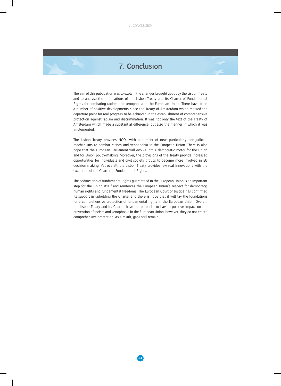# **7. Conclusion**

The aim of this publication was to explain the changes brought about by the Lisbon Treaty and to analyse the implications of the Lisbon Treaty and its Charter of Fundamental Rights for combating racism and xenophobia in the European Union. There have been a number of positive developments since the Treaty of Amsterdam which marked the departure point for real progress to be achieved in the establishment of comprehensive protection against racism and discrimination. It was not only the text of the Treaty of Amsterdam which made a substantial difference, but also the manner in which it was implemented.

The Lisbon Treaty provides NGOs with a number of new, particularly non-judicial, mechanisms to combat racism and xenophobia in the European Union. There is also hope that the European Parliament will evolve into a democratic motor for the Union and for Union policy-making. Moreover, the provisions of the Treaty provide increased opportunities for individuals and civil society groups to become more involved in EU decision-making. Yet overall, the Lisbon Treaty provides few real innovations with the exception of the Charter of Fundamental Rights.

The codification of fundamental rights guaranteed in the European Union is an important step for the Union itself and reinforces the European Union's respect for democracy, human rights and fundamental freedoms. The European Court of Justice has confirmed its support in upholding the Charter and there is hope that it will lay the foundations for a comprehensive protection of fundamental rights in the European Union. Overall, the Lisbon Treaty and its Charter have the potential to have a positive impact on the prevention of racism and xenophobia in the European Union, however, they do not create comprehensive protection. As a result, gaps still remain.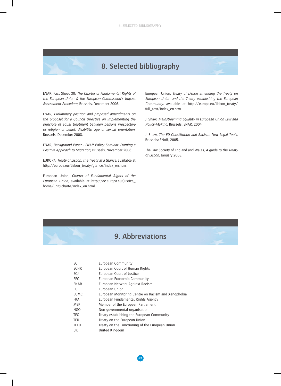# **8. Selected bibliography**

ENAR, Fact Sheet 30: The Charter of Fundamental Rights of the European Union & the European Commission's Impact Assessment Procedure, Brussels, December 2006.

ENAR, Preliminary position and proposed amendments on the proposal for a Council Directive on implementing the principle of equal treatment between persons irrespective of religion or belief, disability, age or sexual orientation, Brussels, December 2008.

ENAR, Background Paper - ENAR Policy Seminar: Framing a Positive Approach to Migration, Brussels, November 2008.

EUROPA, Treaty of Lisbon: The Treaty at a Glance, available at http://europa.eu/lisbon\_treaty/glance/index\_en.htm.

European Union, Charter of Fundamental Rights of the European Union, available at http://ec.europa.eu/justice\_ home/unit/charte/index\_en.html.

European Union, Treaty of Lisbon amending the Treaty on European Union and the Treaty establishing the European Community, available at http://europa.eu/lisbon\_treaty/ full\_text/index\_en.htm.

J. Shaw, Mainstreaming Equality in European Union Law and Policy-Making, Brussels: ENAR, 2004.

J. Shaw, The EU Constitution and Racism: New Legal Tools, Brussels: ENAR, 2005.

The Law Society of England and Wales, A guide to the Treaty of Lisbon, January 2008.

# **9. Abbreviations**

| European Community                                  |
|-----------------------------------------------------|
| European Court of Human Rights                      |
| European Court of Justice                           |
| European Economic Community                         |
| European Network Against Racism                     |
| European Union                                      |
| European Monitoring Centre on Racism and Xenophobia |
| European Fundamental Rights Agency                  |
| Member of the European Parliament                   |
| Non-governmental organisation                       |
| Treaty establishing the European Community          |
| Treaty on the European Union                        |
| Treaty on the Functioning of the European Union     |
| United Kingdom                                      |
|                                                     |